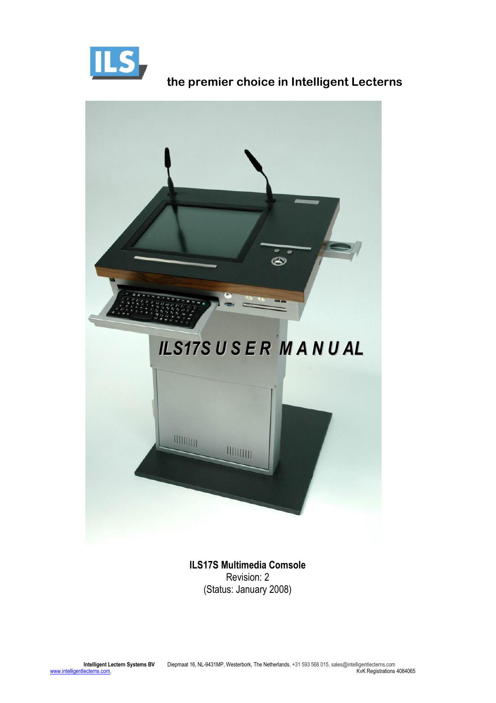



**ILS17S Multimedia Comsole** Revision: 2 (Status: January 2008)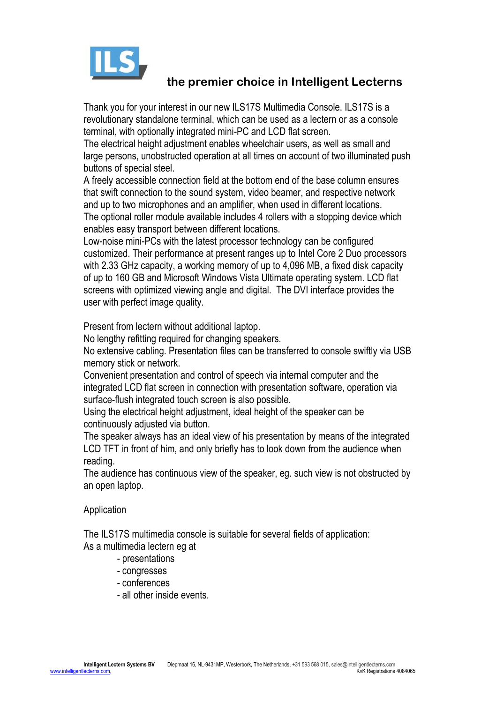

Thank you for your interest in our new ILS17S Multimedia Console. ILS17S is a revolutionary standalone terminal, which can be used as a lectern or as a console terminal, with optionally integrated mini-PC and LCD flat screen.

The electrical height adjustment enables wheelchair users, as well as small and large persons, unobstructed operation at all times on account of two illuminated push buttons of special steel.

A freely accessible connection field at the bottom end of the base column ensures that swift connection to the sound system, video beamer, and respective network and up to two microphones and an amplifier, when used in different locations. The optional roller module available includes 4 rollers with a stopping device which enables easy transport between different locations.

Low-noise mini-PCs with the latest processor technology can be configured customized. Their performance at present ranges up to Intel Core 2 Duo processors with 2.33 GHz capacity, a working memory of up to 4,096 MB, a fixed disk capacity of up to 160 GB and Microsoft Windows Vista Ultimate operating system. LCD flat screens with optimized viewing angle and digital. The DVI interface provides the user with perfect image quality.

Present from lectern without additional laptop.

No lengthy refitting required for changing speakers.

No extensive cabling. Presentation files can be transferred to console swiftly via USB memory stick or network.

Convenient presentation and control of speech via internal computer and the integrated LCD flat screen in connection with presentation software, operation via surface-flush integrated touch screen is also possible.

Using the electrical height adjustment, ideal height of the speaker can be continuously adjusted via button.

The speaker always has an ideal view of his presentation by means of the integrated LCD TFT in front of him, and only briefly has to look down from the audience when reading.

The audience has continuous view of the speaker, eg. such view is not obstructed by an open laptop.

#### Application

The ILS17S multimedia console is suitable for several fields of application: As a multimedia lectern eg at

- presentations
- congresses
- conferences
- all other inside events.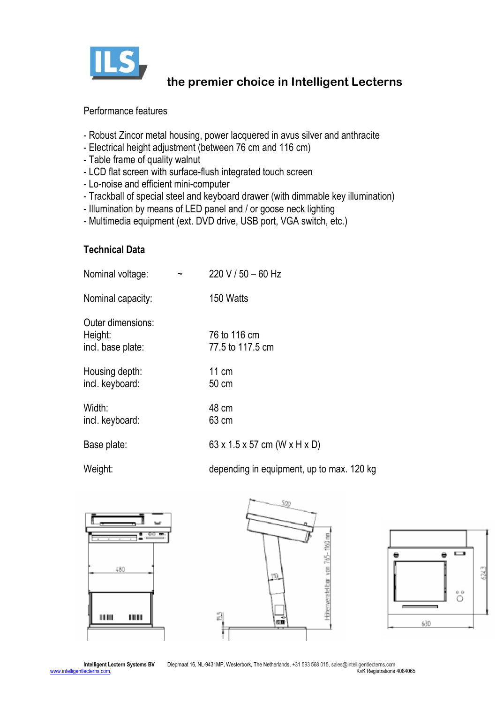

#### Performance features

- Robust Zincor metal housing, power lacquered in avus silver and anthracite
- Electrical height adjustment (between 76 cm and 116 cm)
- Table frame of quality walnut
- LCD flat screen with surface-flush integrated touch screen
- Lo-noise and efficient mini-computer
- Trackball of special steel and keyboard drawer (with dimmable key illumination)
- Illumination by means of LED panel and / or goose neck lighting
- Multimedia equipment (ext. DVD drive, USB port, VGA switch, etc.)

### **Technical Data**

| Nominal voltage:                                  | $220 V / 50 - 60 Hz$                                            |
|---------------------------------------------------|-----------------------------------------------------------------|
| Nominal capacity:                                 | 150 Watts                                                       |
| Outer dimensions:<br>Height:<br>incl. base plate: | 76 to 116 cm<br>77.5 to 117.5 cm                                |
| Housing depth:<br>incl. keyboard:                 | 11 cm<br>50 cm                                                  |
| Width:<br>incl. keyboard:                         | 48 cm<br>63 cm                                                  |
| Base plate:                                       | 63 x 1.5 x 57 cm (W x H x D)                                    |
| $101 - 1 - 1$                                     | shows a substitution of the contribution of the contribution of |

Weight: **Weight:** depending in equipment, up to max. 120 kg





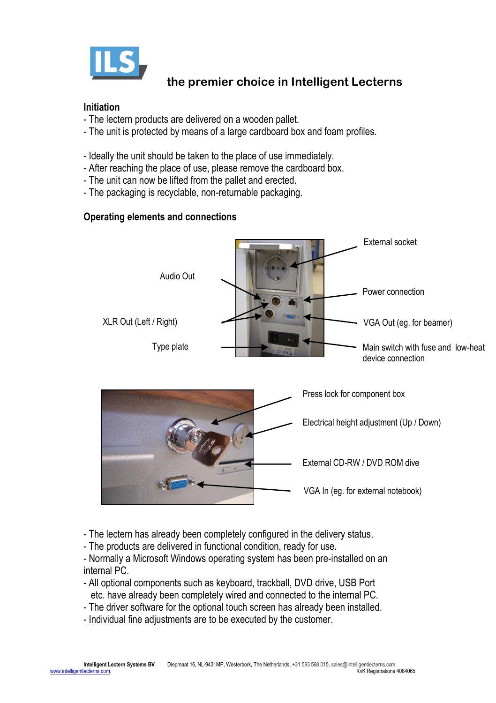

#### **Initiation**

- The lectern products are delivered on a wooden pallet.
- The unit is protected by means of a large cardboard box and foam profiles.
- Ideally the unit should be taken to the place of use immediately.
- After reaching the place of use, please remove the cardboard box.
- The unit can now be lifted from the pallet and erected.
- The packaging is recyclable, non-returnable packaging.

#### **Operating elements and connections**



- The lectern has already been completely configured in the delivery status.
- The products are delivered in functional condition, ready for use.
- Normally a Microsoft Windows operating system has been pre-installed on an internal PC.
- All optional components such as keyboard, trackball, DVD drive, USB Port etc. have already been completely wired and connected to the internal PC.
- The driver software for the optional touch screen has already been installed.
- Individual fine adjustments are to be executed by the customer.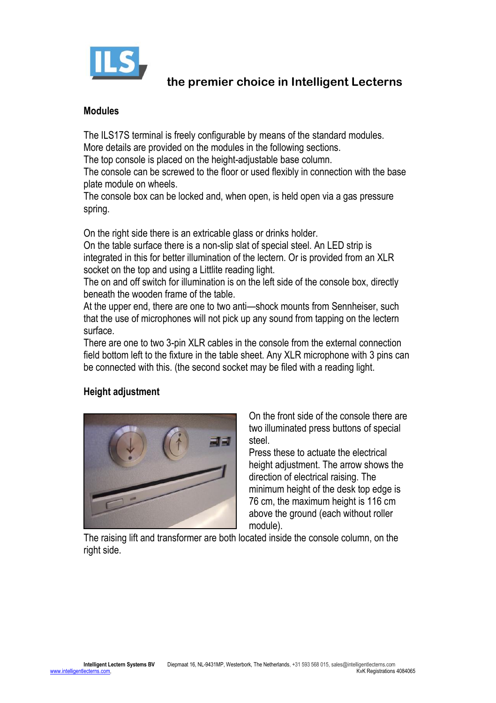

#### **Modules**

The ILS17S terminal is freely configurable by means of the standard modules. More details are provided on the modules in the following sections.

The top console is placed on the height-adjustable base column.

The console can be screwed to the floor or used flexibly in connection with the base plate module on wheels.

The console box can be locked and, when open, is held open via a gas pressure spring.

On the right side there is an extricable glass or drinks holder.

On the table surface there is a non-slip slat of special steel. An LED strip is integrated in this for better illumination of the lectern. Or is provided from an XLR socket on the top and using a Littlite reading light.

The on and off switch for illumination is on the left side of the console box, directly beneath the wooden frame of the table.

At the upper end, there are one to two anti—shock mounts from Sennheiser, such that the use of microphones will not pick up any sound from tapping on the lectern surface.

There are one to two 3-pin XLR cables in the console from the external connection field bottom left to the fixture in the table sheet. Any XLR microphone with 3 pins can be connected with this. (the second socket may be filed with a reading light.

### **Height adjustment**



On the front side of the console there are two illuminated press buttons of special steel.

Press these to actuate the electrical height adjustment. The arrow shows the direction of electrical raising. The minimum height of the desk top edge is 76 cm, the maximum height is 116 cm above the ground (each without roller module).

The raising lift and transformer are both located inside the console column, on the right side.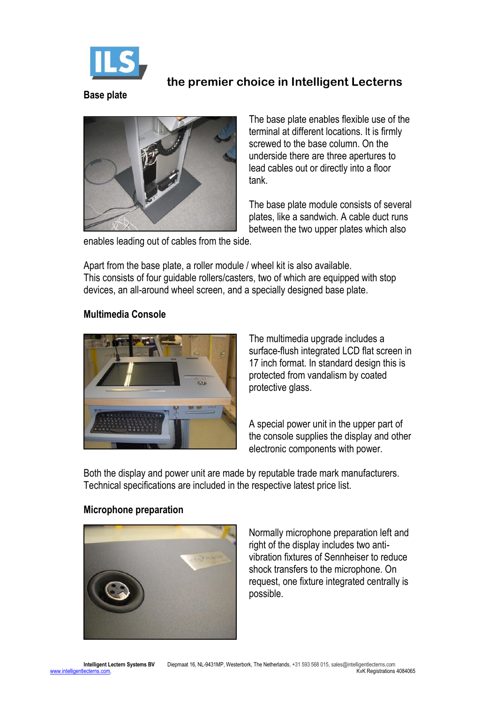

#### **Base plate**



The base plate enables flexible use of the terminal at different locations. It is firmly screwed to the base column. On the underside there are three apertures to lead cables out or directly into a floor tank.

The base plate module consists of several plates, like a sandwich. A cable duct runs between the two upper plates which also

enables leading out of cables from the side.

Apart from the base plate, a roller module / wheel kit is also available. This consists of four guidable rollers/casters, two of which are equipped with stop devices, an all-around wheel screen, and a specially designed base plate.

#### **Multimedia Console**



The multimedia upgrade includes a surface-flush integrated LCD flat screen in 17 inch format. In standard design this is protected from vandalism by coated protective glass.

A special power unit in the upper part of the console supplies the display and other electronic components with power.

Both the display and power unit are made by reputable trade mark manufacturers. Technical specifications are included in the respective latest price list.

#### **Microphone preparation**



Normally microphone preparation left and right of the display includes two antivibration fixtures of Sennheiser to reduce shock transfers to the microphone. On request, one fixture integrated centrally is possible.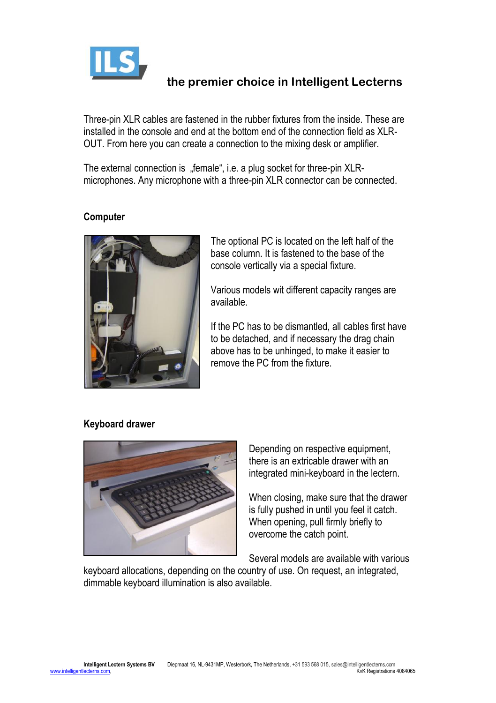

Three-pin XLR cables are fastened in the rubber fixtures from the inside. These are installed in the console and end at the bottom end of the connection field as XLR-OUT. From here you can create a connection to the mixing desk or amplifier.

The external connection is "female", i.e. a plug socket for three-pin XLRmicrophones. Any microphone with a three-pin XLR connector can be connected.

#### **Computer**



The optional PC is located on the left half of the base column. It is fastened to the base of the console vertically via a special fixture.

Various models wit different capacity ranges are available.

If the PC has to be dismantled, all cables first have to be detached, and if necessary the drag chain above has to be unhinged, to make it easier to remove the PC from the fixture.

#### **Keyboard drawer**



Depending on respective equipment, there is an extricable drawer with an integrated mini-keyboard in the lectern.

When closing, make sure that the drawer is fully pushed in until you feel it catch. When opening, pull firmly briefly to overcome the catch point.

Several models are available with various

keyboard allocations, depending on the country of use. On request, an integrated, dimmable keyboard illumination is also available.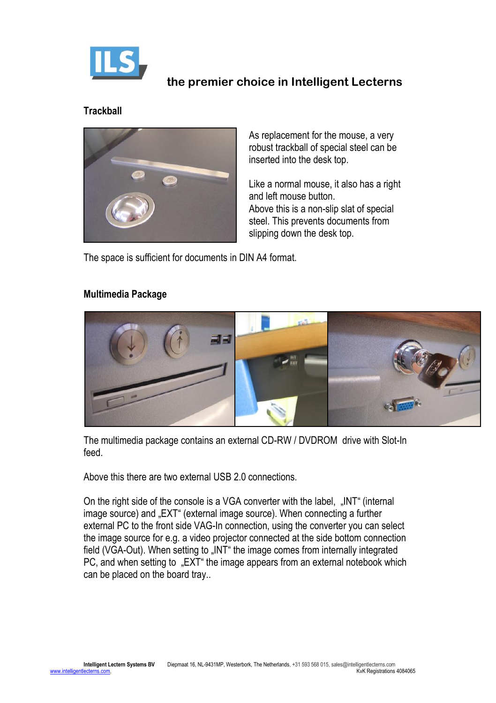

### **Trackball**



As replacement for the mouse, a very robust trackball of special steel can be inserted into the desk top.

Like a normal mouse, it also has a right and left mouse button. Above this is a non-slip slat of special steel. This prevents documents from slipping down the desk top.

The space is sufficient for documents in DIN A4 format.

#### **Multimedia Package**



The multimedia package contains an external CD-RW / DVDROM drive with Slot-In feed.

Above this there are two external USB 2.0 connections.

On the right side of the console is a VGA converter with the label, "INT" (internal image source) and "EXT" (external image source). When connecting a further external PC to the front side VAG-In connection, using the converter you can select the image source for e.g. a video projector connected at the side bottom connection field (VGA-Out). When setting to "INT" the image comes from internally integrated PC, and when setting to "EXT" the image appears from an external notebook which can be placed on the board tray..